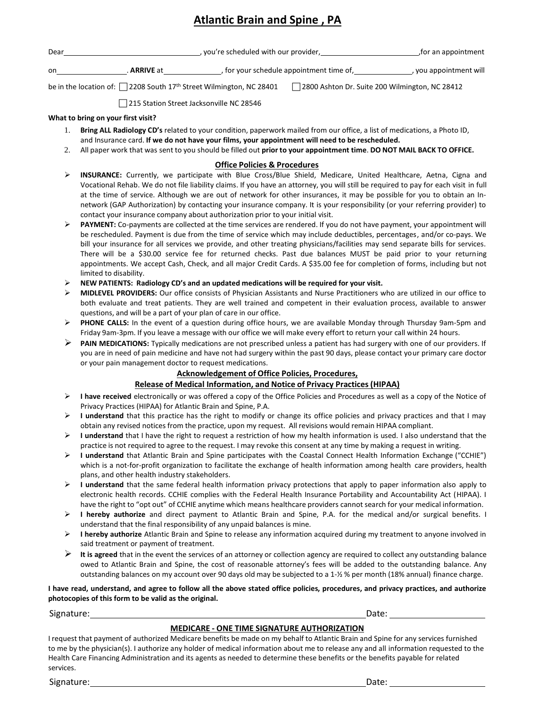### **Atlantic Brain and Spine , PA**

| Dear |                    | , you're scheduled with our provider,    | for an appointment,    |
|------|--------------------|------------------------------------------|------------------------|
| on   | . <b>ARRIVE</b> at | , for your schedule appointment time of, | , you appointment will |

be in the location of: 2208 South 17<sup>th</sup> Street Wilmington, NC 28401 2800 Ashton Dr. Suite 200 Wilmington, NC 28412

□ 215 Station Street Jacksonville NC 28546

#### **What to bring on your first visit?**

- 1. **Bring ALL Radiology CD's** related to your condition, paperwork mailed from our office, a list of medications, a Photo ID, and Insurance card. **If we do not have your films, your appointment will need to be rescheduled.**
- 2. All paper work that was sent to you should be filled out **prior to your appointment time**. **DO NOT MAIL BACK TO OFFICE.**

#### **Office Policies & Procedures**

- ➢ **INSURANCE:** Currently, we participate with Blue Cross/Blue Shield, Medicare, United Healthcare, Aetna, Cigna and Vocational Rehab. We do not file liability claims. If you have an attorney, you will still be required to pay for each visit in full at the time of service. Although we are out of network for other insurances, it may be possible for you to obtain an In‐ network (GAP Authorization) by contacting your insurance company. It is your responsibility (or your referring provider) to contact your insurance company about authorization prior to your initial visit.
- ➢ **PAYMENT:** Co‐payments are collected at the time services are rendered. If you do not have payment, your appointment will be rescheduled. Payment is due from the time of service which may include deductibles, percentages, and/or co-pays. We bill your insurance for all services we provide, and other treating physicians/facilities may send separate bills for services. There will be a \$30.00 service fee for returned checks. Past due balances MUST be paid prior to your returning appointments. We accept Cash, Check, and all major Credit Cards. A \$35.00 fee for completion of forms, including but not limited to disability.
- ➢ **NEW PATIENTS: Radiology CD's and an updated medications will be required for your visit.**
- ➢ **MIDLEVEL PROVIDERS:** Our office consists of Physician Assistants and Nurse Practitioners who are utilized in our office to both evaluate and treat patients. They are well trained and competent in their evaluation process, available to answer questions, and will be a part of your plan of care in our office.
- ➢ **PHONE CALLS:** In the event of a question during office hours, we are available Monday through Thursday 9am‐5pm and Friday 9am-3pm. If you leave a message with our office we will make every effort to return your call within 24 hours.
- ➢ **PAIN MEDICATIONS:** Typically medications are not prescribed unless a patient has had surgery with one of our providers. If you are in need of pain medicine and have not had surgery within the past 90 days, please contact your primary care doctor or your pain management doctor to request medications.

### **Acknowledgement of Office Policies, Procedures,**

### **Release of Medical Information, and Notice of Privacy Practices (HIPAA)**

- ➢ **I have received** electronically or was offered a copy of the Office Policies and Procedures as well as a copy of the Notice of Privacy Practices (HIPAA) for Atlantic Brain and Spine, P.A.
- ➢ **I understand** that this practice has the right to modify or change its office policies and privacy practices and that I may obtain any revised notices from the practice, upon my request. All revisions would remain HIPAA compliant.
- ➢ **I understand** that I have the right to request a restriction of how my health information is used. I also understand that the practice is not required to agree to the request. I may revoke this consent at any time by making a request in writing.
- ➢ **I understand** that Atlantic Brain and Spine participates with the Coastal Connect Health Information Exchange ("CCHIE") which is a not-for-profit organization to facilitate the exchange of health information among health care providers, health plans, and other health industry stakeholders.
- ➢ **I understand** that the same federal health information privacy protections that apply to paper information also apply to electronic health records. CCHIE complies with the Federal Health Insurance Portability and Accountability Act (HIPAA). I have the right to "opt out" of CCHIE anytime which means healthcare providers cannot search for your medical information.
- ➢ **I hereby authorize** and direct payment to Atlantic Brain and Spine, P.A. for the medical and/or surgical benefits. I understand that the final responsibility of any unpaid balances is mine.
- ➢ **I hereby authorize** Atlantic Brain and Spine to release any information acquired during my treatment to anyone involved in said treatment or payment of treatment.
- ➢ **It is agreed** that in the event the services of an attorney or collection agency are required to collect any outstanding balance owed to Atlantic Brain and Spine, the cost of reasonable attorney's fees will be added to the outstanding balance. Any outstanding balances on my account over 90 days old may be subjected to a 1‐½ % per month (18% annual) finance charge.

#### **I have read, understand, and agree to follow all the above stated office policies, procedures, and privacy practices, and authorize photocopies of this form to be valid as the original.**

Signature: Date:

### **MEDICARE ‐ ONE TIME SIGNATURE AUTHORIZATION**

I request that payment of authorized Medicare benefits be made on my behalf to Atlantic Brain and Spine for any services furnished to me by the physician(s). I authorize any holder of medical information about me to release any and all information requested to the Health Care Financing Administration and its agents as needed to determine these benefits or the benefits payable for related services.

Signature: Date: Detection Contract Detection Contract Detection Contract Date: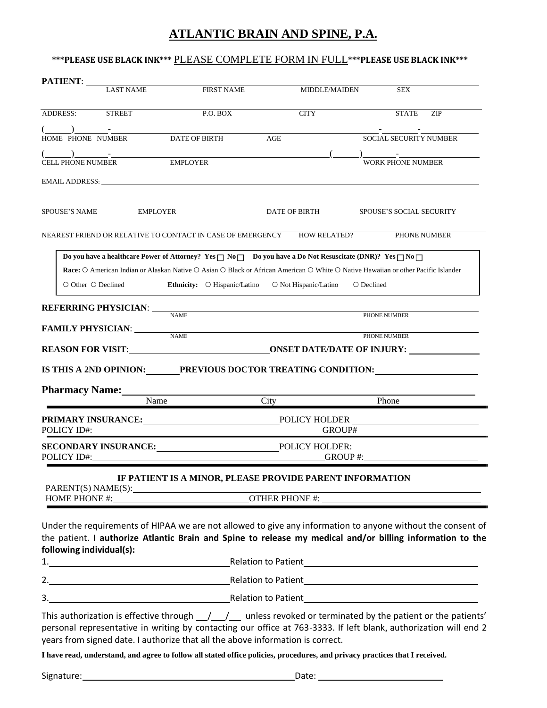# **ATLANTIC BRAIN AND SPINE, P.A.**

### **\*\*\*PLEASE USE BLACK INK\*\*\*** PLEASE COMPLETE FORM IN FULL**\*\*\*PLEASE USE BLACK INK\*\*\***

| PATIENT:                                                                                                                                                                                                                                                                                                                                                                                                                                                                                                                                                                                                |                  |                                                          |            |                       |                                                                                                                                                                                                                                                                                  |              |
|---------------------------------------------------------------------------------------------------------------------------------------------------------------------------------------------------------------------------------------------------------------------------------------------------------------------------------------------------------------------------------------------------------------------------------------------------------------------------------------------------------------------------------------------------------------------------------------------------------|------------------|----------------------------------------------------------|------------|-----------------------|----------------------------------------------------------------------------------------------------------------------------------------------------------------------------------------------------------------------------------------------------------------------------------|--------------|
|                                                                                                                                                                                                                                                                                                                                                                                                                                                                                                                                                                                                         | <b>LAST NAME</b> | <b>FIRST NAME</b>                                        |            | MIDDLE/MAIDEN         | <b>SEX</b>                                                                                                                                                                                                                                                                       |              |
| ADDRESS:                                                                                                                                                                                                                                                                                                                                                                                                                                                                                                                                                                                                | <b>STREET</b>    | $P.O.$ BOX                                               |            | <b>CITY</b>           | <b>STATE</b>                                                                                                                                                                                                                                                                     | <b>ZIP</b>   |
| HOME PHONE NUMBER                                                                                                                                                                                                                                                                                                                                                                                                                                                                                                                                                                                       |                  | <b>DATE OF BIRTH</b>                                     | $\rm{AGE}$ |                       | SOCIAL SECURITY NUMBER                                                                                                                                                                                                                                                           |              |
| $\begin{array}{ccc} \begin{array}{ccc} \hline \end{array} & \begin{array}{ccc} \hline \end{array} & \begin{array}{ccc} \hline \end{array} & \begin{array}{ccc} \hline \end{array} & \begin{array}{ccc} \hline \end{array} & \begin{array}{ccc} \hline \end{array} & \begin{array}{ccc} \hline \end{array} & \begin{array}{ccc} \hline \end{array} & \begin{array}{ccc} \hline \end{array} & \begin{array}{ccc} \hline \end{array} & \begin{array}{ccc} \hline \end{array} & \begin{array}{ccc} \hline \end{array} & \begin{array}{ccc} \hline \end{array} & \begin{array}{$<br><b>CELL PHONE NUMBER</b> |                  | <b>EMPLOYER</b>                                          |            |                       | <b>WORK PHONE NUMBER</b>                                                                                                                                                                                                                                                         |              |
| EMAIL ADDRESS: North and the second state of the second state of the second state of the second state of the second state of the second state of the second state of the second state of the second state of the second state                                                                                                                                                                                                                                                                                                                                                                           |                  |                                                          |            |                       |                                                                                                                                                                                                                                                                                  |              |
| <b>SPOUSE'S NAME</b>                                                                                                                                                                                                                                                                                                                                                                                                                                                                                                                                                                                    | <b>EMPLOYER</b>  |                                                          |            | DATE OF BIRTH         | <b>SPOUSE'S SOCIAL SECURITY</b>                                                                                                                                                                                                                                                  |              |
| NEAREST FRIEND OR RELATIVE TO CONTACT IN CASE OF EMERGENCY                                                                                                                                                                                                                                                                                                                                                                                                                                                                                                                                              |                  |                                                          |            | <b>HOW RELATED?</b>   |                                                                                                                                                                                                                                                                                  | PHONE NUMBER |
| $\circ$ Other $\circ$ Declined                                                                                                                                                                                                                                                                                                                                                                                                                                                                                                                                                                          |                  | <b>Ethnicity:</b> $\bigcirc$ Hispanic/Latino             |            | O Not Hispanic/Latino | Do you have a healthcare Power of Attorney? Yes $\Box$ No $\Box$ Do you have a Do Not Resuscitate (DNR)? Yes $\Box$ No $\Box$<br>Race: O American Indian or Alaskan Native O Asian O Black or African American O White O Native Hawaiian or other Pacific Islander<br>○ Declined |              |
| <b>REFERRING PHYSICIAN:</b>                                                                                                                                                                                                                                                                                                                                                                                                                                                                                                                                                                             |                  | <b>NAME</b>                                              |            |                       | PHONE NUMBER                                                                                                                                                                                                                                                                     |              |
| <b>FAMILY PHYSICIAN:</b>                                                                                                                                                                                                                                                                                                                                                                                                                                                                                                                                                                                |                  | <b>NAME</b>                                              |            |                       | PHONE NUMBER                                                                                                                                                                                                                                                                     |              |
|                                                                                                                                                                                                                                                                                                                                                                                                                                                                                                                                                                                                         |                  |                                                          |            |                       |                                                                                                                                                                                                                                                                                  |              |
| <b>Pharmacy Name:</b>                                                                                                                                                                                                                                                                                                                                                                                                                                                                                                                                                                                   | Name             |                                                          | City       |                       | Phone                                                                                                                                                                                                                                                                            |              |
| PRIMARY INSURANCE: POLICY HOLDER<br>POLICY ID#:                                                                                                                                                                                                                                                                                                                                                                                                                                                                                                                                                         |                  |                                                          |            |                       |                                                                                                                                                                                                                                                                                  |              |
| SECONDARY INSURANCE: POLICY HOLDER:<br>POLICY ID#:                                                                                                                                                                                                                                                                                                                                                                                                                                                                                                                                                      |                  |                                                          |            | GROUP#:               |                                                                                                                                                                                                                                                                                  |              |
| PARENT(S) NAME(S):                                                                                                                                                                                                                                                                                                                                                                                                                                                                                                                                                                                      |                  | IF PATIENT IS A MINOR, PLEASE PROVIDE PARENT INFORMATION |            |                       |                                                                                                                                                                                                                                                                                  |              |
|                                                                                                                                                                                                                                                                                                                                                                                                                                                                                                                                                                                                         |                  |                                                          |            |                       |                                                                                                                                                                                                                                                                                  |              |
| Under the requirements of HIPAA we are not allowed to give any information to anyone without the consent of<br>the patient. I authorize Atlantic Brain and Spine to release my medical and/or billing information to the<br>following individual(s):                                                                                                                                                                                                                                                                                                                                                    |                  |                                                          |            |                       |                                                                                                                                                                                                                                                                                  |              |
|                                                                                                                                                                                                                                                                                                                                                                                                                                                                                                                                                                                                         |                  |                                                          |            |                       |                                                                                                                                                                                                                                                                                  |              |
| 3. Relation to Patient Communication of Patient Communication of Patient Communication of Patient Communication of Patient Communication of the Communication of Patient Communication of the Communication of the Communicati                                                                                                                                                                                                                                                                                                                                                                          |                  |                                                          |            |                       |                                                                                                                                                                                                                                                                                  |              |
| This authorization is effective through $\frac{1}{\sqrt{2}}$ unless revoked or terminated by the patient or the patients'<br>personal representative in writing by contacting our office at 763-3333. If left blank, authorization will end 2<br>years from signed date. I authorize that all the above information is correct.                                                                                                                                                                                                                                                                         |                  |                                                          |            |                       |                                                                                                                                                                                                                                                                                  |              |
| I have read, understand, and agree to follow all stated office policies, procedures, and privacy practices that I received.                                                                                                                                                                                                                                                                                                                                                                                                                                                                             |                  |                                                          |            |                       |                                                                                                                                                                                                                                                                                  |              |
| Signature: 1999 Contract Contract Contract Contract Contract Contract Contract Contract Contract Contract Contract Contract Contract Contract Contract Contract Contract Contract Contract Contract Contract Contract Contract                                                                                                                                                                                                                                                                                                                                                                          |                  |                                                          |            |                       |                                                                                                                                                                                                                                                                                  |              |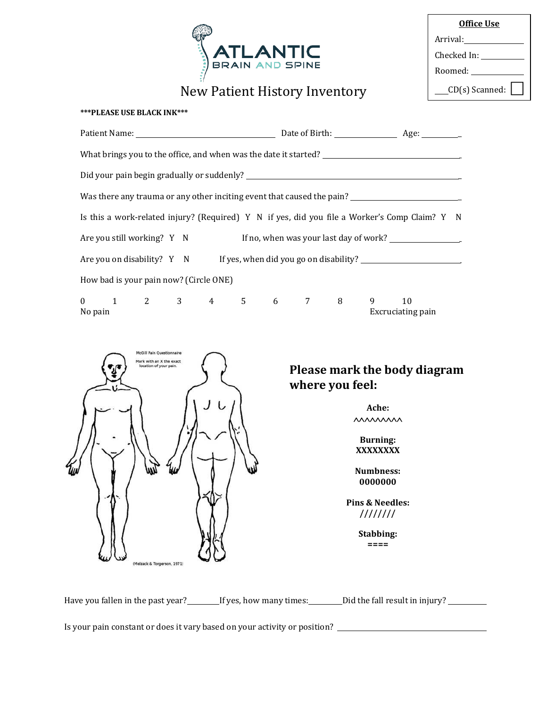

New Patient History Inventory

| <b>Office Use</b> |
|-------------------|
| Arrival:          |
| Checked In:       |
| Roomed:           |
| CD(s) Scanned:    |

### **\*\*\*PLEASE USE BLACK INK\*\*\***

|                                                                                                                                                                                                                                                                                                                                                                                              | What brings you to the office, and when was the date it started? ___________________________________ |                         |  |  |  |  |  |
|----------------------------------------------------------------------------------------------------------------------------------------------------------------------------------------------------------------------------------------------------------------------------------------------------------------------------------------------------------------------------------------------|------------------------------------------------------------------------------------------------------|-------------------------|--|--|--|--|--|
|                                                                                                                                                                                                                                                                                                                                                                                              |                                                                                                      |                         |  |  |  |  |  |
| Was there any trauma or any other inciting event that caused the pain?<br><u>Letter any trauma</u> or any other inciting event that caused the pain?                                                                                                                                                                                                                                         |                                                                                                      |                         |  |  |  |  |  |
| Is this a work-related injury? (Required) Y N if yes, did you file a Worker's Comp Claim? Y N                                                                                                                                                                                                                                                                                                |                                                                                                      |                         |  |  |  |  |  |
| Are you still working? Y N If no, when was your last day of work?                                                                                                                                                                                                                                                                                                                            |                                                                                                      |                         |  |  |  |  |  |
|                                                                                                                                                                                                                                                                                                                                                                                              | Are you on disability? Y N If yes, when did you go on disability?                                    |                         |  |  |  |  |  |
| How bad is your pain now? (Circle ONE)                                                                                                                                                                                                                                                                                                                                                       |                                                                                                      |                         |  |  |  |  |  |
| $\begin{matrix}0\end{matrix}\qquad \begin{matrix}1\end{matrix}\qquad \begin{matrix}2\end{matrix}\qquad \begin{matrix}3\end{matrix}\qquad \begin{matrix}4\end{matrix}\qquad \begin{matrix}5\end{matrix}\qquad \begin{matrix}6\end{matrix}\qquad \begin{matrix}7\end{matrix}\qquad \begin{matrix}8\end{matrix}\qquad \begin{matrix}9\end{matrix}\qquad \begin{matrix}9\end{matrix}$<br>No pain |                                                                                                      | 10<br>Excruciating pain |  |  |  |  |  |
| Mark with an X the exact                                                                                                                                                                                                                                                                                                                                                                     |                                                                                                      |                         |  |  |  |  |  |

# **Please mark the body diagram where you feel:**

**Ache: MAMMAM** 

**Burning: XXXXXXXX**

**Numbness: 0000000**

**Pins & Needles: ////////**

> **Stabbing: ====**

Have you fallen in the past year? If yes, how many times: Did the fall result in injury?

Is yourpain constant or does it vary based on your activity orposition?

(Melzack & Torgerson, 1971)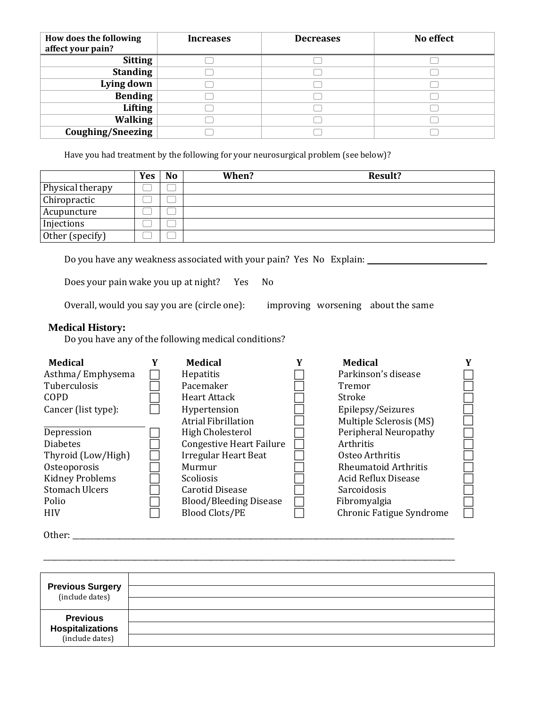| How does the following<br>affect your pain? | <b>Increases</b> | <b>Decreases</b> | No effect |
|---------------------------------------------|------------------|------------------|-----------|
| <b>Sitting</b>                              |                  |                  |           |
| <b>Standing</b>                             |                  |                  |           |
| Lying down                                  |                  |                  |           |
| <b>Bending</b>                              |                  |                  |           |
| <b>Lifting</b>                              |                  |                  |           |
| <b>Walking</b>                              |                  |                  |           |
| <b>Coughing/Sneezing</b>                    |                  |                  |           |

Have you had treatment by the following for your neurosurgical problem (see below)?

|                  | Yes | <b>No</b> | When? | <b>Result?</b> |
|------------------|-----|-----------|-------|----------------|
| Physical therapy |     |           |       |                |
| Chiropractic     |     |           |       |                |
| Acupuncture      |     |           |       |                |
| Injections       |     |           |       |                |
| Other (specify)  |     |           |       |                |

Do you have any weakness associated with your pain? Yes No Explain:

Does your pain wake you up at night? Yes No

Overall, would you say you are (circle one): improving worsening about the same

### **Medical History:**

Do you have any of the following medical conditions?

| <b>Medical</b>         | <b>Medical</b>                  | Y | <b>Medical</b>              |  |
|------------------------|---------------------------------|---|-----------------------------|--|
| Asthma/Emphysema       | Hepatitis                       |   | Parkinson's disease         |  |
| Tuberculosis           | Pacemaker                       |   | Tremor                      |  |
| COPD                   | <b>Heart Attack</b>             |   | Stroke                      |  |
| Cancer (list type):    | Hypertension                    |   | Epilepsy/Seizures           |  |
|                        | <b>Atrial Fibrillation</b>      |   | Multiple Sclerosis (MS)     |  |
| Depression             | <b>High Cholesterol</b>         |   | Peripheral Neuropathy       |  |
| <b>Diabetes</b>        | <b>Congestive Heart Failure</b> |   | Arthritis                   |  |
| Thyroid (Low/High)     | <b>Irregular Heart Beat</b>     |   | Osteo Arthritis             |  |
| Osteoporosis           | Murmur                          |   | <b>Rheumatoid Arthritis</b> |  |
| <b>Kidney Problems</b> | <b>Scoliosis</b>                |   | <b>Acid Reflux Disease</b>  |  |
| <b>Stomach Ulcers</b>  | Carotid Disease                 |   | <b>Sarcoidosis</b>          |  |
| Polio                  | <b>Blood/Bleeding Disease</b>   |   | Fibromyalgia                |  |
| <b>HIV</b>             | <b>Blood Clots/PE</b>           |   | Chronic Fatigue Syndrome    |  |

Other: \_\_\_\_\_\_\_\_\_\_\_\_\_\_\_\_\_\_\_\_\_\_\_\_\_\_\_\_\_\_\_\_\_\_\_\_\_\_\_\_\_\_\_\_\_\_\_\_\_\_\_\_\_\_\_\_\_\_\_\_\_\_\_\_\_\_\_\_\_\_\_\_\_\_\_\_\_\_\_\_\_\_\_\_\_\_\_\_\_\_\_\_\_\_\_\_\_\_\_\_\_\_\_\_\_

| <b>Previous Surgery</b><br>(include dates) |  |
|--------------------------------------------|--|
|                                            |  |
| <b>Previous</b>                            |  |
|                                            |  |
| <b>Hospitalizations</b><br>(include dates) |  |

\_\_\_\_\_\_\_\_\_\_\_\_\_\_\_\_\_\_\_\_\_\_\_\_\_\_\_\_\_\_\_\_\_\_\_\_\_\_\_\_\_\_\_\_\_\_\_\_\_\_\_\_\_\_\_\_\_\_\_\_\_\_\_\_\_\_\_\_\_\_\_\_\_\_\_\_\_\_\_\_\_\_\_\_\_\_\_\_\_\_\_\_\_\_\_\_\_\_\_\_\_\_\_\_\_\_\_\_\_\_\_\_\_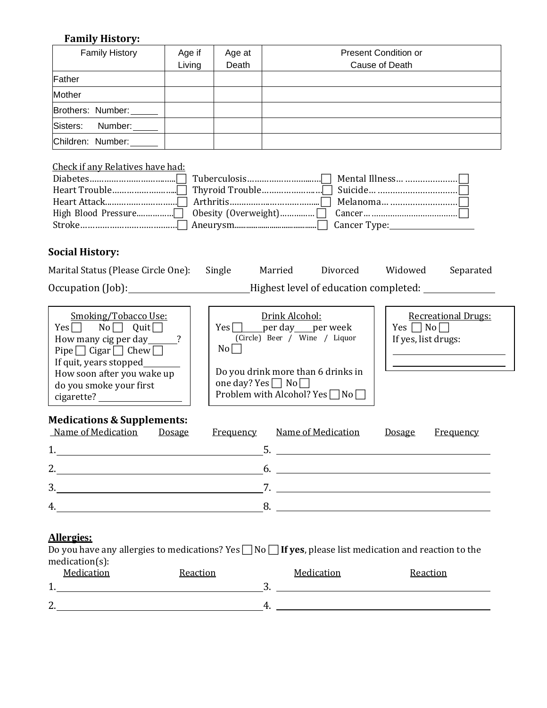### **Family History:**

| <b>Family History</b> | Age if | Age at | Present Condition or |
|-----------------------|--------|--------|----------------------|
|                       | Living | Death  | Cause of Death       |
| Father                |        |        |                      |
| Mother                |        |        |                      |
| Brothers: Number:     |        |        |                      |
| Sisters:<br>Number:   |        |        |                      |
| Children: Number:     |        |        |                      |

### Check if any Relatives have had:

### **Social History:**

| Marital Status (Please Circle One): | Single | Married | Divorced                              | Widowed | Separated |
|-------------------------------------|--------|---------|---------------------------------------|---------|-----------|
| Occupation (Job):                   |        |         | Highest level of education completed: |         |           |

| Smoking/Tobacco Use:                 |
|--------------------------------------|
| Quit<br>$No \Box$<br>$Yes \Box$      |
| How many cig per day                 |
| Pipe $\Box$ Cigar $\Box$ Chew $\Box$ |
| If quit, years stopped               |
| How soon after you wake up           |
| do you smoke your first              |
| cigarette?                           |

| Drink Alcohol:        |  |                               |  |  |
|-----------------------|--|-------------------------------|--|--|
|                       |  | Yes   per day per week        |  |  |
|                       |  | (Circle) Beer / Wine / Liquor |  |  |
| $\text{No} \mid \top$ |  |                               |  |  |
|                       |  |                               |  |  |

Do you drink more than 6 drinks in one day? Yes  $\Box$  No  $\Box$ Problem with Alcohol? Yes  $\Box$  No $\Box$ 

# **Medications & Supplements:**

| Name of Medication<br><b>Dosage</b><br><u>Frequency</u> | Name of Medication<br><b>Dosage</b><br><u>Frequency</u>     |
|---------------------------------------------------------|-------------------------------------------------------------|
|                                                         | <u> 1980 - Andrea Stadt Britain, amerikansk politiker (</u> |
|                                                         | n.                                                          |
|                                                         |                                                             |
|                                                         |                                                             |

### **Allergies:**

|                              | Do you have any allergies to medications? Yes $\Box$ No $\Box$ If yes, please list medication and reaction to the |                              |  |
|------------------------------|-------------------------------------------------------------------------------------------------------------------|------------------------------|--|
| $medication(s)$ :            |                                                                                                                   |                              |  |
| $\mathbf{M}$ is $\mathbf{M}$ |                                                                                                                   | $\mathbf{M}$ is $\mathbf{M}$ |  |

|         | Medication | Reaction |         | Medication | Reaction |
|---------|------------|----------|---------|------------|----------|
| ◢<br>д. |            |          | $\cdot$ |            |          |
|         |            |          |         |            |          |
| 2.      |            |          | ∸       |            |          |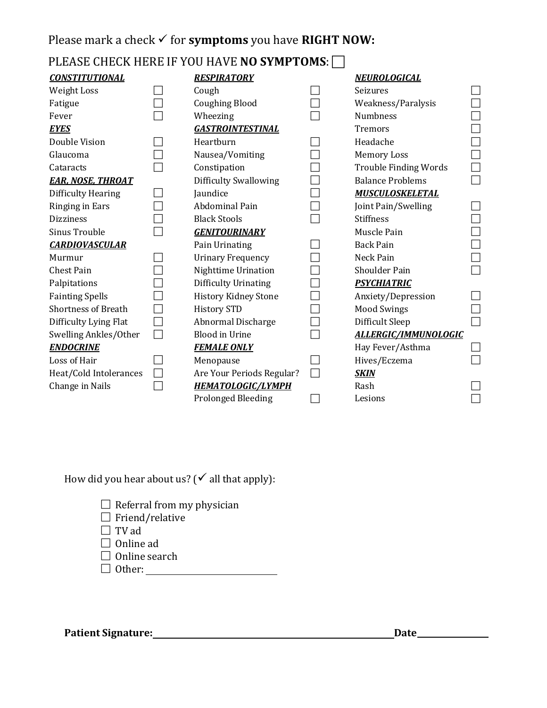# Please mark a check ✓ for **symptoms** you have **RIGHT NOW:**

# PLEASE CHECK HERE IF YOU HAVE **NO SYMPTOMS**:

| <b>CONSTITUTIONAL</b>      | <b>RESPIRATORY</b>           | NEUROLOGICAL                 |  |
|----------------------------|------------------------------|------------------------------|--|
| Weight Loss                | Cough                        | Seizures                     |  |
| Fatigue                    | <b>Coughing Blood</b>        | Weakness/Paralysis           |  |
| Fever                      | Wheezing                     | Numbness                     |  |
| <b>EYES</b>                | <b>GASTROINTESTINAL</b>      | Tremors                      |  |
| Double Vision              | Heartburn                    | Headache                     |  |
| Glaucoma                   | Nausea/Vomiting              | <b>Memory Loss</b>           |  |
| Cataracts                  | Constipation                 | <b>Trouble Finding Words</b> |  |
| <b>EAR, NOSE, THROAT</b>   | <b>Difficulty Swallowing</b> | <b>Balance Problems</b>      |  |
| Difficulty Hearing         | Jaundice                     | <b>MUSCULOSKELETAL</b>       |  |
| Ringing in Ears            | Abdominal Pain               | Joint Pain/Swelling          |  |
| <b>Dizziness</b>           | <b>Black Stools</b>          | <b>Stiffness</b>             |  |
| Sinus Trouble              | <b>GENITOURINARY</b>         | Muscle Pain                  |  |
| <b>CARDIOVASCULAR</b>      | Pain Urinating               | <b>Back Pain</b>             |  |
| Murmur                     | <b>Urinary Frequency</b>     | Neck Pain                    |  |
| <b>Chest Pain</b>          | Nighttime Urination          | Shoulder Pain                |  |
| Palpitations               | Difficulty Urinating         | <b>PSYCHIATRIC</b>           |  |
| <b>Fainting Spells</b>     | <b>History Kidney Stone</b>  | Anxiety/Depression           |  |
| <b>Shortness of Breath</b> | <b>History STD</b>           | <b>Mood Swings</b>           |  |
| Difficulty Lying Flat      | Abnormal Discharge           | Difficult Sleep              |  |
| Swelling Ankles/Other      | <b>Blood in Urine</b>        | <b>ALLERGIC/IMMUNOLOGIC</b>  |  |
| <b>ENDOCRINE</b>           | <b>FEMALE ONLY</b>           | Hay Fever/Asthma             |  |
| Loss of Hair               | Menopause                    | Hives/Eczema                 |  |
| Heat/Cold Intolerances     | Are Your Periods Regular?    | <b>SKIN</b>                  |  |
| Change in Nails            | <b>HEMATOLOGIC/LYMPH</b>     | Rash                         |  |
|                            | <b>Prolonged Bleeding</b>    | Lesions                      |  |

How did you hear about us? ( $\checkmark$  all that apply):

| $\Box$ Referral from my physician |  |
|-----------------------------------|--|
|-----------------------------------|--|

| $\Box$ Friend/relative |  |
|------------------------|--|
|------------------------|--|

- $\Box$  TV ad
- □ Online ad
- $\Box$  Online search
- Other:

Patient Signature: **Date Date Date Date Date Date Date Date Date Date Date Date Date Date Date Date Date D**